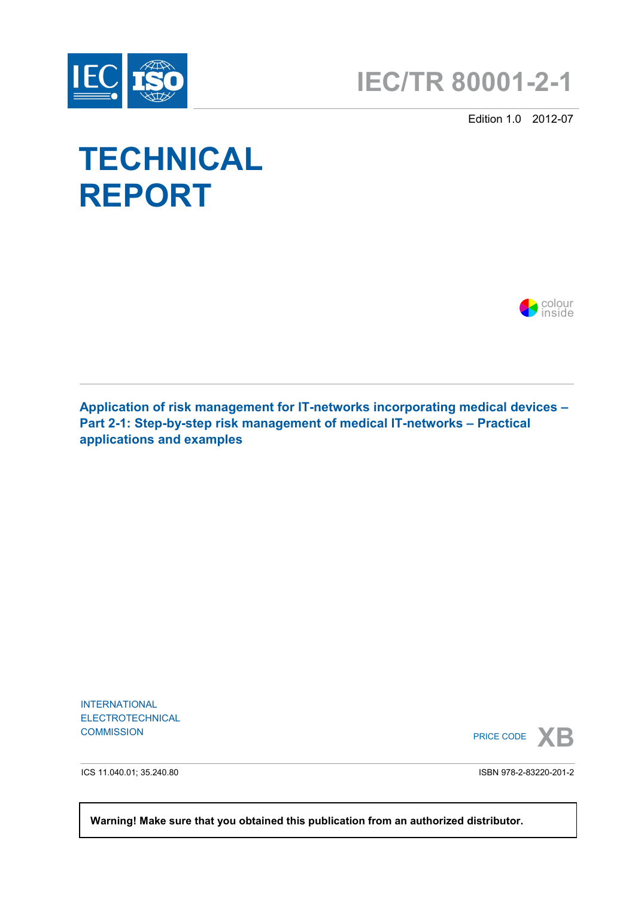



Edition 1.0 2012-07

# **TECHNICAL REPORT**



**Application of risk management for IT-networks incorporating medical devices – Part 2-1: Step-by-step risk management of medical IT-networks – Practical applications and examples**

INTERNATIONAL ELECTROTECHNICAL



ICS 11.040.01; 35.240.80

ISBN 978-2-83220-201-2

 **Warning! Make sure that you obtained this publication from an authorized distributor.**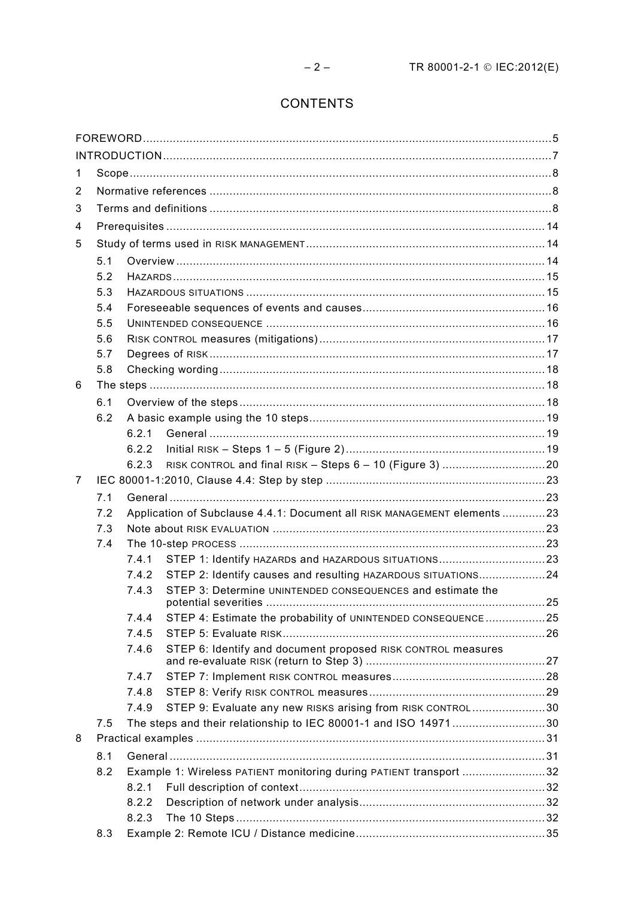# **CONTENTS**

| 1 |                                                                                 |                |                                                                    |  |  |  |  |
|---|---------------------------------------------------------------------------------|----------------|--------------------------------------------------------------------|--|--|--|--|
| 2 |                                                                                 |                |                                                                    |  |  |  |  |
| 3 |                                                                                 |                |                                                                    |  |  |  |  |
| 4 |                                                                                 |                |                                                                    |  |  |  |  |
| 5 |                                                                                 |                |                                                                    |  |  |  |  |
|   | 5.1                                                                             |                |                                                                    |  |  |  |  |
|   | 5.2                                                                             |                |                                                                    |  |  |  |  |
|   | 5.3                                                                             |                |                                                                    |  |  |  |  |
|   | 5.4                                                                             |                |                                                                    |  |  |  |  |
|   | 5.5                                                                             |                |                                                                    |  |  |  |  |
|   | 5.6                                                                             |                |                                                                    |  |  |  |  |
|   | 5.7                                                                             |                |                                                                    |  |  |  |  |
|   | 5.8                                                                             |                |                                                                    |  |  |  |  |
| 6 |                                                                                 |                |                                                                    |  |  |  |  |
|   | 6.1                                                                             |                |                                                                    |  |  |  |  |
|   | 6.2                                                                             |                |                                                                    |  |  |  |  |
|   |                                                                                 | 6.2.1          |                                                                    |  |  |  |  |
|   |                                                                                 | 6.2.2<br>6.2.3 |                                                                    |  |  |  |  |
| 7 |                                                                                 |                |                                                                    |  |  |  |  |
|   | 7.1                                                                             |                |                                                                    |  |  |  |  |
|   | 7.2                                                                             |                |                                                                    |  |  |  |  |
|   | Application of Subclause 4.4.1: Document all RISK MANAGEMENT elements 23<br>7.3 |                |                                                                    |  |  |  |  |
|   | 7.4                                                                             |                |                                                                    |  |  |  |  |
|   |                                                                                 | 7.4.1          |                                                                    |  |  |  |  |
|   |                                                                                 | 7.4.2          | STEP 2: Identify causes and resulting HAZARDOUS SITUATIONS24       |  |  |  |  |
|   |                                                                                 | 7.4.3          | STEP 3: Determine UNINTENDED CONSEQUENCES and estimate the         |  |  |  |  |
|   |                                                                                 | 7.4.4          | STEP 4: Estimate the probability of UNINTENDED CONSEQUENCE25       |  |  |  |  |
|   |                                                                                 | 7.4.5          |                                                                    |  |  |  |  |
|   |                                                                                 | 7.4.6          | STEP 6: Identify and document proposed RISK CONTROL measures       |  |  |  |  |
|   |                                                                                 | 7.4.7          |                                                                    |  |  |  |  |
|   |                                                                                 | 7.4.8          |                                                                    |  |  |  |  |
|   |                                                                                 | 7.4.9          | STEP 9: Evaluate any new RISKS arising from RISK CONTROL30         |  |  |  |  |
|   | 7.5                                                                             |                | The steps and their relationship to IEC 80001-1 and ISO 1497130    |  |  |  |  |
| 8 |                                                                                 |                |                                                                    |  |  |  |  |
|   | 8.1                                                                             |                |                                                                    |  |  |  |  |
|   | 8.2                                                                             |                | Example 1: Wireless PATIENT monitoring during PATIENT transport 32 |  |  |  |  |
|   |                                                                                 | 8.2.1          |                                                                    |  |  |  |  |
|   |                                                                                 | 8.2.2          |                                                                    |  |  |  |  |
|   | 8.3                                                                             | 8.2.3          |                                                                    |  |  |  |  |
|   |                                                                                 |                |                                                                    |  |  |  |  |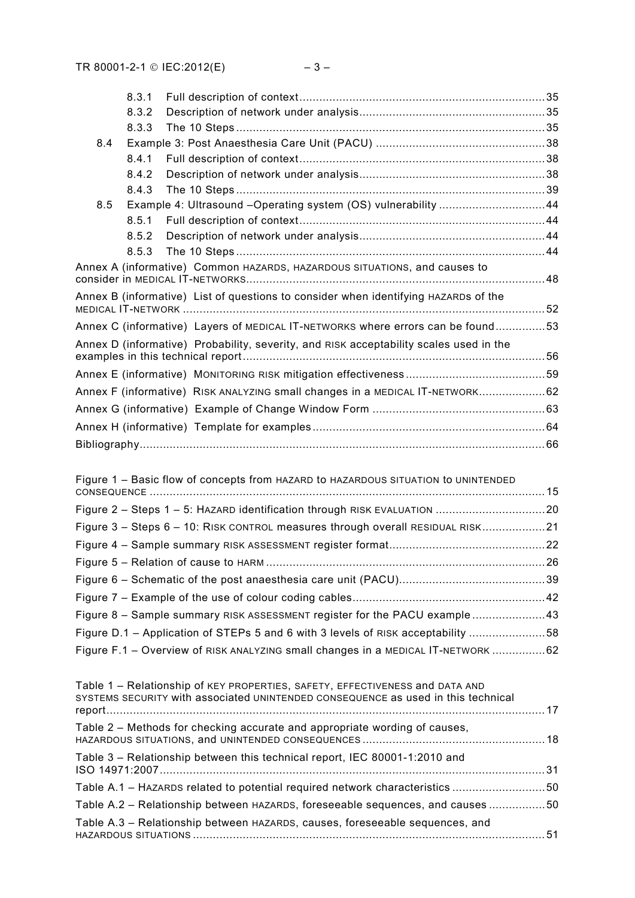|     | 8.3.1 |                                                                                        |  |  |
|-----|-------|----------------------------------------------------------------------------------------|--|--|
|     | 8.3.2 |                                                                                        |  |  |
|     | 8.3.3 |                                                                                        |  |  |
| 8.4 |       |                                                                                        |  |  |
|     | 8.4.1 |                                                                                        |  |  |
|     | 8.4.2 |                                                                                        |  |  |
|     | 8.4.3 |                                                                                        |  |  |
| 8.5 |       | Example 4: Ultrasound - Operating system (OS) vulnerability 44                         |  |  |
|     | 8.5.1 |                                                                                        |  |  |
|     | 8.5.2 |                                                                                        |  |  |
|     | 8.5.3 |                                                                                        |  |  |
|     |       | Annex A (informative) Common HAZARDS, HAZARDOUS SITUATIONS, and causes to              |  |  |
|     |       | Annex B (informative) List of questions to consider when identifying HAZARDs of the    |  |  |
|     |       | Annex C (informative) Layers of MEDICAL IT-NETWORKS where errors can be found53        |  |  |
|     |       | Annex D (informative) Probability, severity, and RISK acceptability scales used in the |  |  |
|     |       |                                                                                        |  |  |
|     |       |                                                                                        |  |  |
|     |       | Annex F (informative) RISK ANALYZING small changes in a MEDICAL IT-NETWORK62           |  |  |
|     |       |                                                                                        |  |  |
|     |       |                                                                                        |  |  |
|     |       |                                                                                        |  |  |
|     |       |                                                                                        |  |  |
|     |       | Figure 1 - Basic flow of concepts from HAZARD to HAZARDOUS SITUATION to UNINTENDED     |  |  |
|     |       | Figure 2 - Steps 1 - 5: HAZARD identification through RISK EVALUATION 20               |  |  |
|     |       | Figure 3 - Steps 6 - 10: RISK CONTROL measures through overall RESIDUAL RISK21         |  |  |
|     |       |                                                                                        |  |  |
|     |       |                                                                                        |  |  |
|     |       |                                                                                        |  |  |
|     |       |                                                                                        |  |  |
|     |       |                                                                                        |  |  |
|     |       | Figure 8 - Sample summary RISK ASSESSMENT register for the PACU example 43             |  |  |
|     |       | Figure D.1 - Application of STEPs 5 and 6 with 3 levels of RISK acceptability 58       |  |  |
|     |       | Figure F.1 - Overview of RISK ANALYZING small changes in a MEDICAL IT-NETWORK 62       |  |  |
|     |       |                                                                                        |  |  |
|     |       | Table 1 - Relationship of KEY PROPERTIES, SAEETY, EFFECTIVENESS and DATA AND           |  |  |

| Table 1 – Relationship of KEY PROPERTIES, SAFETY, EFFECTIVENESS and DATA AND<br>SYSTEMS SECURITY with associated UNINTENDED CONSEQUENCE as used in this technical |  |
|-------------------------------------------------------------------------------------------------------------------------------------------------------------------|--|
| Table 2 – Methods for checking accurate and appropriate wording of causes,                                                                                        |  |
| Table 3 - Relationship between this technical report, IEC 80001-1:2010 and                                                                                        |  |
| Table A.1 - HAZARDS related to potential required network characteristics 50                                                                                      |  |
| Table A.2 - Relationship between HAZARDS, foreseeable sequences, and causes 50                                                                                    |  |
| Table A.3 - Relationship between HAZARDS, causes, foreseeable sequences, and                                                                                      |  |
|                                                                                                                                                                   |  |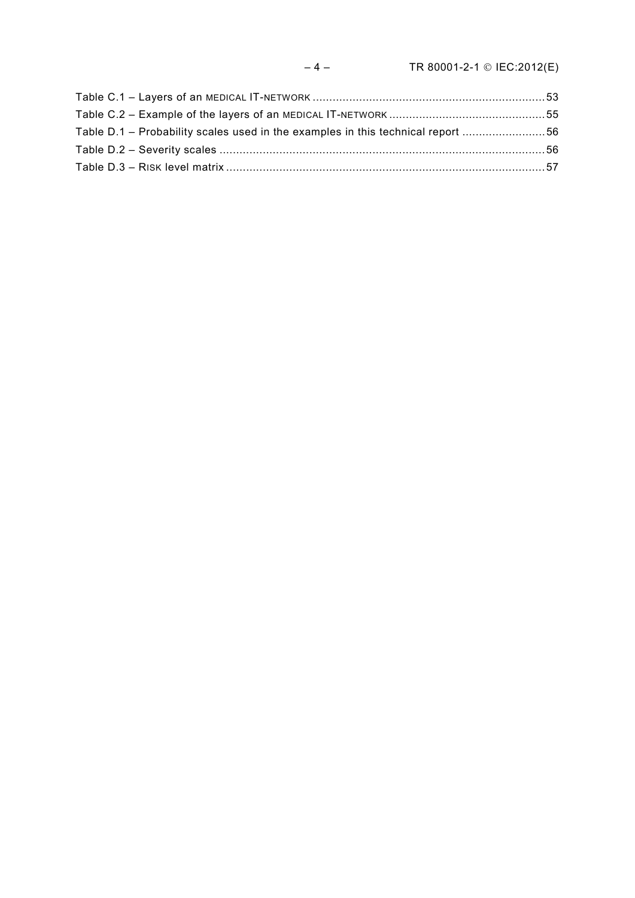| Table D.1 – Probability scales used in the examples in this technical report 56 |  |
|---------------------------------------------------------------------------------|--|
|                                                                                 |  |
|                                                                                 |  |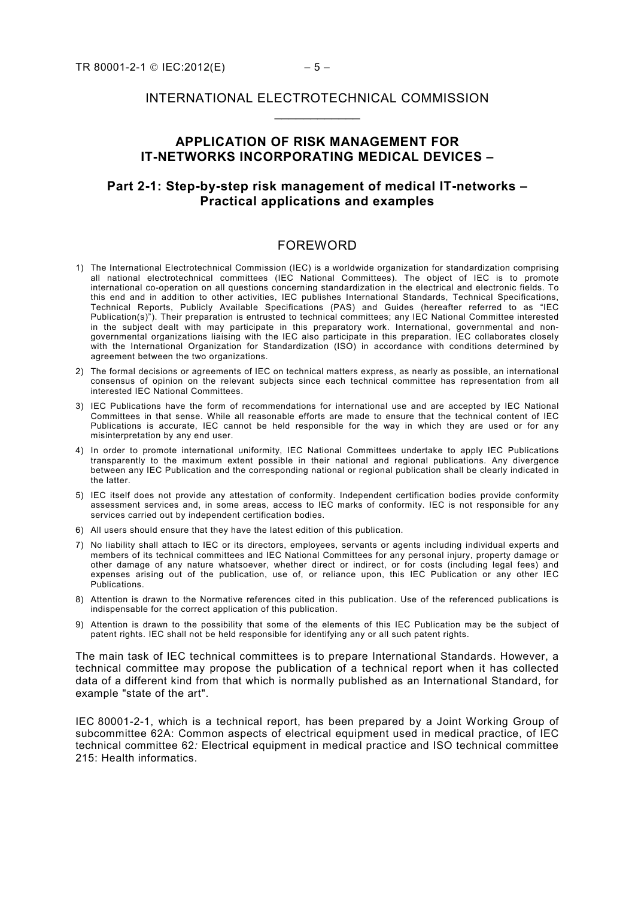# INTERNATIONAL ELECTROTECHNICAL COMMISSION  $\overline{\phantom{a}}$

# **APPLICATION OF RISK MANAGEMENT FOR IT-NETWORKS INCORPORATING MEDICAL DEVICES –**

# **Part 2-1: Step-by-step risk management of medical IT-networks – Practical applications and examples**

#### FOREWORD

- 1) The International Electrotechnical Commission (IEC) is a worldwide organization for standardization comprising all national electrotechnical committees (IEC National Committees). The object of IEC is to promote international co-operation on all questions concerning standardization in the electrical and electronic fields. To this end and in addition to other activities, IEC publishes International Standards, Technical Specifications, Technical Reports, Publicly Available Specifications (PAS) and Guides (hereafter referred to as "IEC Publication(s)"). Their preparation is entrusted to technical committees; any IEC National Committee interested in the subject dealt with may participate in this preparatory work. International, governmental and nongovernmental organizations liaising with the IEC also participate in this preparation. IEC collaborates closely with the International Organization for Standardization (ISO) in accordance with conditions determined by agreement between the two organizations.
- 2) The formal decisions or agreements of IEC on technical matters express, as nearly as possible, an international consensus of opinion on the relevant subjects since each technical committee has representation from all interested IEC National Committees.
- 3) IEC Publications have the form of recommendations for international use and are accepted by IEC National Committees in that sense. While all reasonable efforts are made to ensure that the technical content of IEC Publications is accurate, IEC cannot be held responsible for the way in which they are used or for any misinterpretation by any end user.
- 4) In order to promote international uniformity, IEC National Committees undertake to apply IEC Publications transparently to the maximum extent possible in their national and regional publications. Any divergence between any IEC Publication and the corresponding national or regional publication shall be clearly indicated in the latter.
- 5) IEC itself does not provide any attestation of conformity. Independent certification bodies provide conformity assessment services and, in some areas, access to IEC marks of conformity. IEC is not responsible for any services carried out by independent certification bodies.
- 6) All users should ensure that they have the latest edition of this publication.
- 7) No liability shall attach to IEC or its directors, employees, servants or agents including individual experts and members of its technical committees and IEC National Committees for any personal injury, property damage or other damage of any nature whatsoever, whether direct or indirect, or for costs (including legal fees) and expenses arising out of the publication, use of, or reliance upon, this IEC Publication or any other IEC Publications.
- 8) Attention is drawn to the Normative references cited in this publication. Use of the referenced publications is indispensable for the correct application of this publication.
- 9) Attention is drawn to the possibility that some of the elements of this IEC Publication may be the subject of patent rights. IEC shall not be held responsible for identifying any or all such patent rights.

The main task of IEC technical committees is to prepare International Standards. However, a technical committee may propose the publication of a technical report when it has collected data of a different kind from that which is normally published as an International Standard, for example "state of the art".

IEC 80001-2-1, which is a technical report, has been prepared by a Joint Working Group of subcommittee 62A: Common aspects of electrical equipment used in medical practice, of IEC technical committee 62*:* Electrical equipment in medical practice and ISO technical committee 215: Health informatics.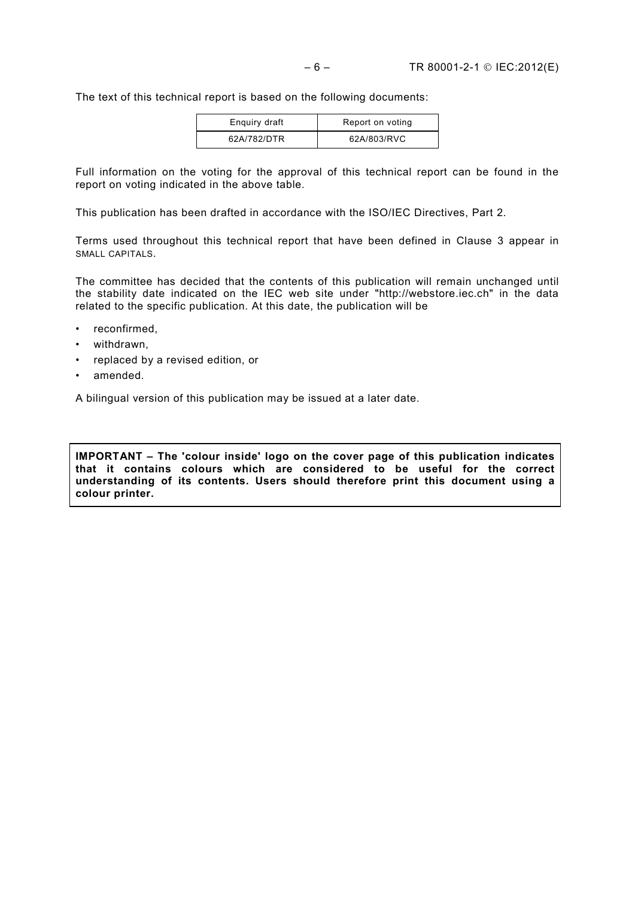The text of this technical report is based on the following documents:

| Enguiry draft | Report on voting |
|---------------|------------------|
| 62A/782/DTR   | 62A/803/RVC      |

Full information on the voting for the approval of this technical report can be found in the report on voting indicated in the above table.

This publication has been drafted in accordance with the ISO/IEC Directives, Part 2.

Terms used throughout this technical report that have been defined in Clause 3 appear in SMALL CAPITALS.

The committee has decided that the contents of this publication will remain unchanged until the stability date indicated on the IEC web site under "http://webstore.iec.ch" in the data related to the specific publication. At this date, the publication will be

- reconfirmed,
- withdrawn,
- replaced by a revised edition, or
- amended.

A bilingual version of this publication may be issued at a later date.

**IMPORTANT – The 'colour inside' logo on the cover page of this publication indicates that it contains colours which are considered to be useful for the correct understanding of its contents. Users should therefore print this document using a colour printer.**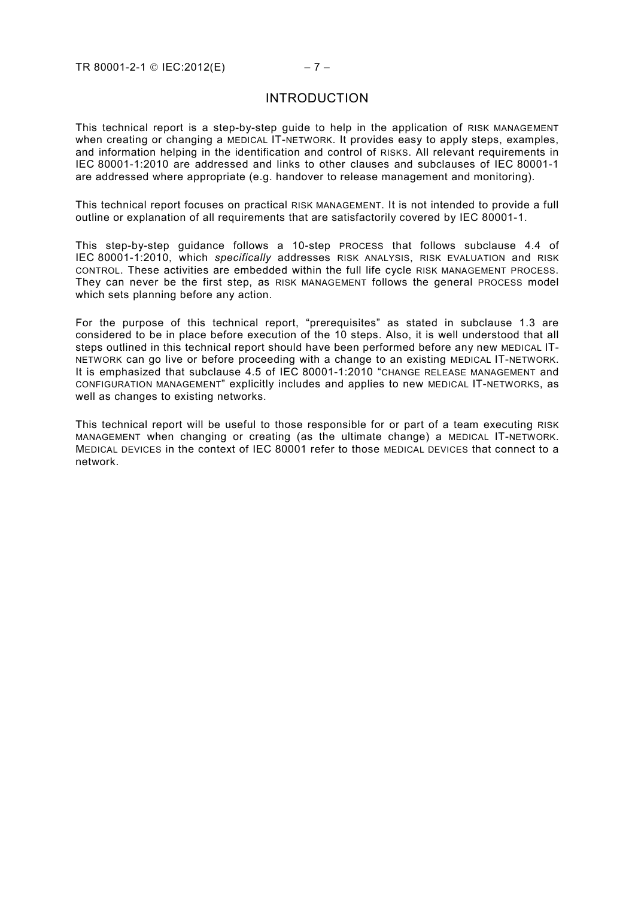#### INTRODUCTION

This technical report is a step-by-step guide to help in the application of RISK MANAGEMENT when creating or changing a MEDICAL IT-NETWORK. It provides easy to apply steps, examples, and information helping in the identification and control of RISKS. All relevant requirements in IEC 80001-1:2010 are addressed and links to other clauses and subclauses of IEC 80001-1 are addressed where appropriate (e.g. handover to release management and monitoring).

This technical report focuses on practical RISK MANAGEMENT. It is not intended to provide a full outline or explanation of all requirements that are satisfactorily covered by IEC 80001-1.

This step-by-step guidance follows a 10-step PROCESS that follows subclause 4.4 of IEC 80001-1:2010, which *specifically* addresses RISK ANALYSIS, RISK EVALUATION and RISK CONTROL. These activities are embedded within the full life cycle RISK MANAGEMENT PROCESS. They can never be the first step, as RISK MANAGEMENT follows the general PROCESS model which sets planning before any action.

For the purpose of this technical report, "prerequisites" as stated in subclause 1.3 are considered to be in place before execution of the 10 steps. Also, it is well understood that all steps outlined in this technical report should have been performed before any new MEDICAL IT-NETWORK can go live or before proceeding with a change to an existing MEDICAL IT-NETWORK. It is emphasized that subclause 4.5 of IEC 80001-1:2010 "CHANGE RELEASE MANAGEMENT and CONFIGURATION MANAGEMENT" explicitly includes and applies to new MEDICAL IT-NETWORKS, as well as changes to existing networks.

This technical report will be useful to those responsible for or part of a team executing RISK MANAGEMENT when changing or creating (as the ultimate change) a MEDICAL IT-NETWORK. MEDICAL DEVICES in the context of IEC 80001 refer to those MEDICAL DEVICES that connect to a network.